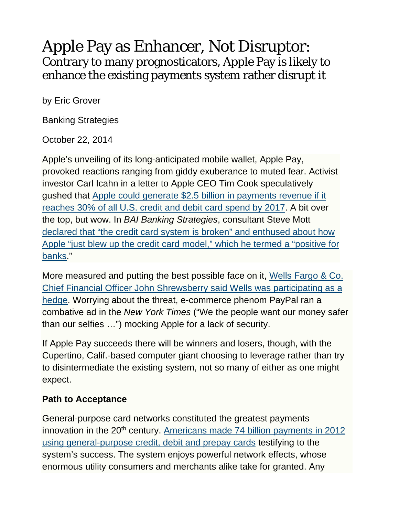## Apple Pay as Enhancer, Not Disruptor: Contrary to many prognosticators, Apple Pay is likely to enhance the existing payments system rather disrupt it

by Eric Grover

Banking Strategies

October 22, 2014

Apple's unveiling of its long-anticipated mobile wallet, Apple Pay, provoked reactions ranging from giddy exuberance to muted fear. Activist investor Carl Icahn in a letter to Apple CEO Tim Cook speculatively gushed that Apple could generate \$2.5 billion in payments revenue if it reaches 30% of all U.S. credit and debit card spend by 2017. A bit over the top, but wow. In *BAI Banking Strategies*, consultant Steve Mott declared that "the credit card system is broken" and enthused about how Apple "just blew up the credit card model," which he termed a "positive for banks."

More measured and putting the best possible face on it, Wells Fargo & Co. Chief Financial Officer John Shrewsberry said Wells was participating as a hedge. Worrying about the threat, e-commerce phenom PayPal ran a combative ad in the *New York Times* ("We the people want our money safer than our selfies …") mocking Apple for a lack of security.

If Apple Pay succeeds there will be winners and losers, though, with the Cupertino, Calif.-based computer giant choosing to leverage rather than try to disintermediate the existing system, not so many of either as one might expect.

## **Path to Acceptance**

General-purpose card networks constituted the greatest payments innovation in the  $20<sup>th</sup>$  century. Americans made 74 billion payments in 2012 using general-purpose credit, debit and prepay cards testifying to the system's success. The system enjoys powerful network effects, whose enormous utility consumers and merchants alike take for granted. Any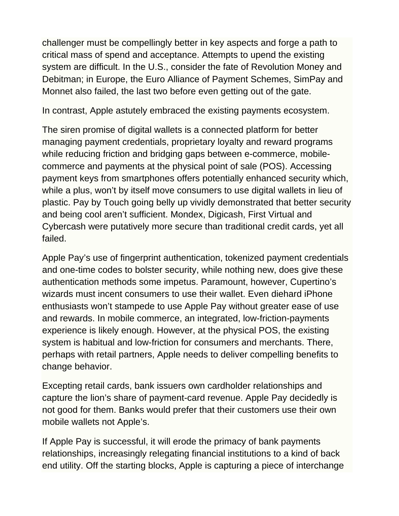challenger must be compellingly better in key aspects and forge a path to critical mass of spend and acceptance. Attempts to upend the existing system are difficult. In the U.S., consider the fate of Revolution Money and Debitman; in Europe, the Euro Alliance of Payment Schemes, SimPay and Monnet also failed, the last two before even getting out of the gate.

In contrast, Apple astutely embraced the existing payments ecosystem.

The siren promise of digital wallets is a connected platform for better managing payment credentials, proprietary loyalty and reward programs while reducing friction and bridging gaps between e-commerce, mobilecommerce and payments at the physical point of sale (POS). Accessing payment keys from smartphones offers potentially enhanced security which, while a plus, won't by itself move consumers to use digital wallets in lieu of plastic. Pay by Touch going belly up vividly demonstrated that better security and being cool aren't sufficient. Mondex, Digicash, First Virtual and Cybercash were putatively more secure than traditional credit cards, yet all failed.

Apple Pay's use of fingerprint authentication, tokenized payment credentials and one-time codes to bolster security, while nothing new, does give these authentication methods some impetus. Paramount, however, Cupertino's wizards must incent consumers to use their wallet. Even diehard iPhone enthusiasts won't stampede to use Apple Pay without greater ease of use and rewards. In mobile commerce, an integrated, low-friction-payments experience is likely enough. However, at the physical POS, the existing system is habitual and low-friction for consumers and merchants. There, perhaps with retail partners, Apple needs to deliver compelling benefits to change behavior.

Excepting retail cards, bank issuers own cardholder relationships and capture the lion's share of payment-card revenue. Apple Pay decidedly is not good for them. Banks would prefer that their customers use their own mobile wallets not Apple's.

If Apple Pay is successful, it will erode the primacy of bank payments relationships, increasingly relegating financial institutions to a kind of back end utility. Off the starting blocks, Apple is capturing a piece of interchange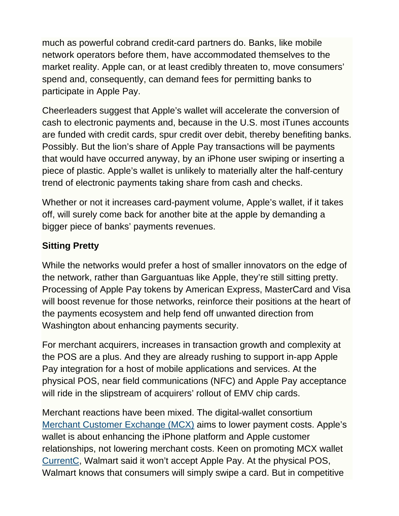much as powerful cobrand credit-card partners do. Banks, like mobile network operators before them, have accommodated themselves to the market reality. Apple can, or at least credibly threaten to, move consumers' spend and, consequently, can demand fees for permitting banks to participate in Apple Pay.

Cheerleaders suggest that Apple's wallet will accelerate the conversion of cash to electronic payments and, because in the U.S. most iTunes accounts are funded with credit cards, spur credit over debit, thereby benefiting banks. Possibly. But the lion's share of Apple Pay transactions will be payments that would have occurred anyway, by an iPhone user swiping or inserting a piece of plastic. Apple's wallet is unlikely to materially alter the half-century trend of electronic payments taking share from cash and checks.

Whether or not it increases card-payment volume, Apple's wallet, if it takes off, will surely come back for another bite at the apple by demanding a bigger piece of banks' payments revenues.

## **Sitting Pretty**

While the networks would prefer a host of smaller innovators on the edge of the network, rather than Garguantuas like Apple, they're still sitting pretty. Processing of Apple Pay tokens by American Express, MasterCard and Visa will boost revenue for those networks, reinforce their positions at the heart of the payments ecosystem and help fend off unwanted direction from Washington about enhancing payments security.

For merchant acquirers, increases in transaction growth and complexity at the POS are a plus. And they are already rushing to support in-app Apple Pay integration for a host of mobile applications and services. At the physical POS, near field communications (NFC) and Apple Pay acceptance will ride in the slipstream of acquirers' rollout of EMV chip cards.

Merchant reactions have been mixed. The digital-wallet consortium Merchant Customer Exchange (MCX) aims to lower payment costs. Apple's wallet is about enhancing the iPhone platform and Apple customer relationships, not lowering merchant costs. Keen on promoting MCX wallet CurrentC, Walmart said it won't accept Apple Pay. At the physical POS, Walmart knows that consumers will simply swipe a card. But in competitive